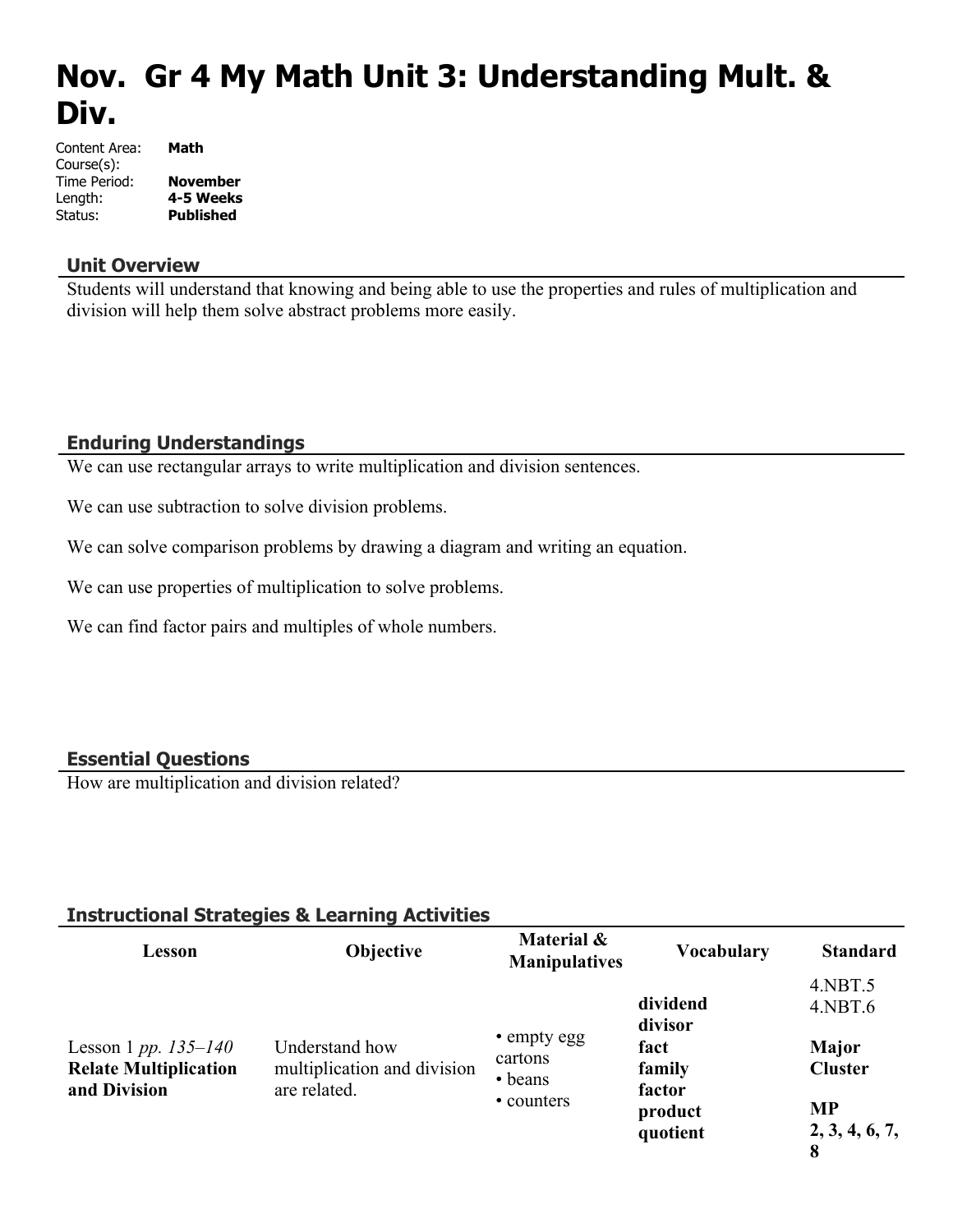# **Nov. Gr 4 My Math Unit 3: Understanding Mult. & Div.**

| Content Area: | Math             |
|---------------|------------------|
| Course(s):    |                  |
| Time Period:  | <b>November</b>  |
| Length:       | 4-5 Weeks        |
| Status:       | <b>Published</b> |

#### **Unit Overview**

Students will understand that knowing and being able to use the properties and rules of multiplication and division will help them solve abstract problems more easily.

### **Enduring Understandings**

We can use rectangular arrays to write multiplication and division sentences.

We can use subtraction to solve division problems.

We can solve comparison problems by drawing a diagram and writing an equation.

We can use properties of multiplication to solve problems.

We can find factor pairs and multiples of whole numbers.

# **Essential Questions**

How are multiplication and division related?

#### **Instructional Strategies & Learning Activities**

| Lesson                                                                   | <b>Objective</b>                                              | Material &<br><b>Manipulatives</b>              | <b>Vocabulary</b>                                                      | <b>Standard</b>                                                                          |
|--------------------------------------------------------------------------|---------------------------------------------------------------|-------------------------------------------------|------------------------------------------------------------------------|------------------------------------------------------------------------------------------|
| Lesson 1 pp. $135 - 140$<br><b>Relate Multiplication</b><br>and Division | Understand how<br>multiplication and division<br>are related. | • empty egg<br>cartons<br>• beans<br>• counters | dividend<br>divisor<br>fact<br>family<br>factor<br>product<br>quotient | $4.$ NBT $.5$<br>$4.$ NBT $.6$<br>Major<br><b>Cluster</b><br><b>MP</b><br>2, 3, 4, 6, 7, |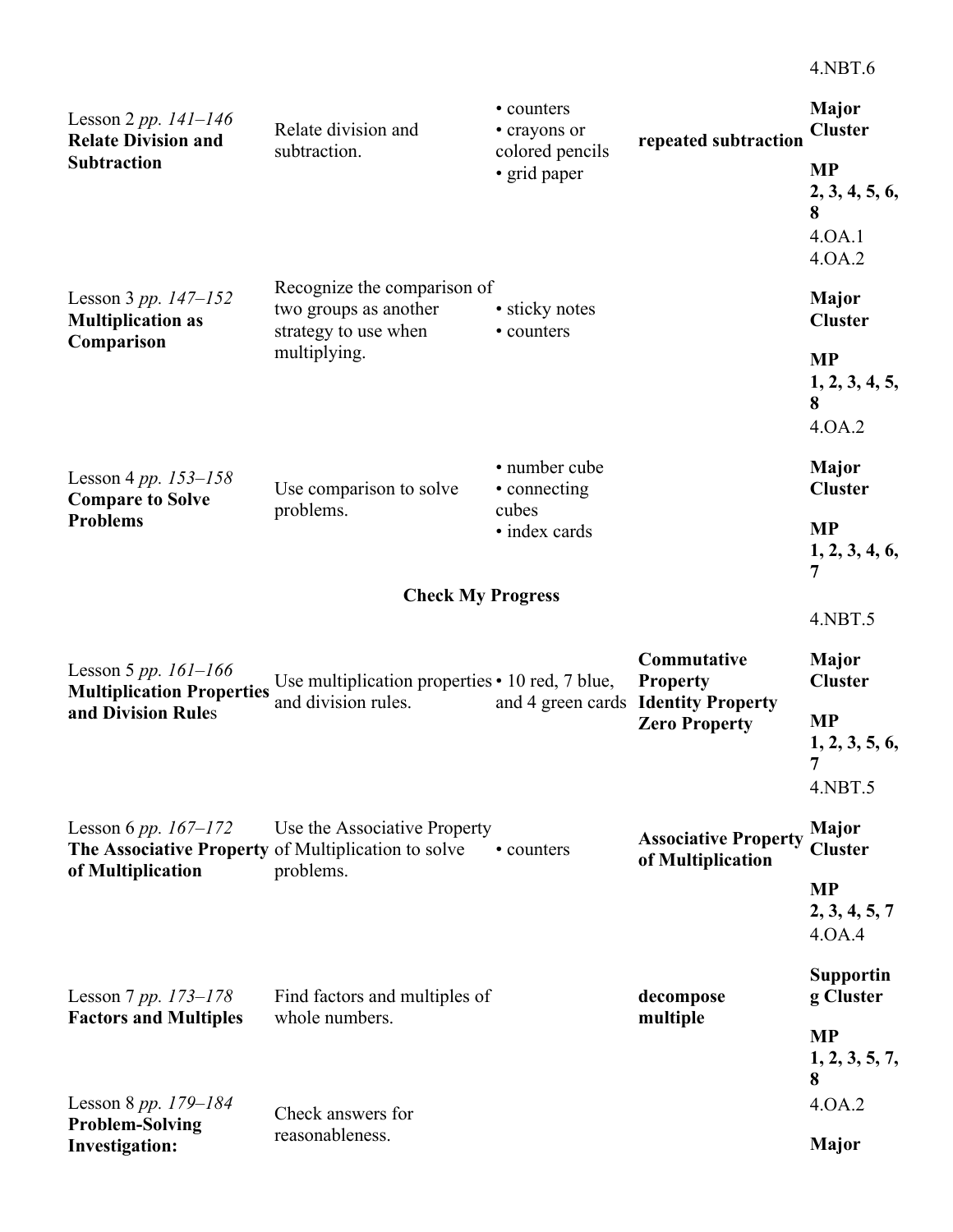| Lesson 2 pp. $141 - 146$<br><b>Relate Division and</b>                          | Relate division and                                                          | • counters<br>• crayons or      | repeated subtraction                                        | Major<br><b>Cluster</b>                              |
|---------------------------------------------------------------------------------|------------------------------------------------------------------------------|---------------------------------|-------------------------------------------------------------|------------------------------------------------------|
| <b>Subtraction</b>                                                              | subtraction.                                                                 | colored pencils<br>• grid paper |                                                             | <b>MP</b><br>2, 3, 4, 5, 6,<br>8<br>4.0A.1<br>4.0A.2 |
| Lesson 3 pp. $147 - 152$<br><b>Multiplication as</b>                            | Recognize the comparison of<br>two groups as another<br>strategy to use when | • sticky notes<br>• counters    |                                                             | Major<br><b>Cluster</b>                              |
| Comparison                                                                      | multiplying.                                                                 |                                 |                                                             | <b>MP</b><br>1, 2, 3, 4, 5,<br>8<br>4.0A.2           |
| Lesson 4 pp. $153 - 158$<br><b>Compare to Solve</b>                             | Use comparison to solve                                                      | • number cube<br>• connecting   |                                                             | Major<br><b>Cluster</b>                              |
| <b>Problems</b>                                                                 | problems.                                                                    | cubes<br>• index cards          |                                                             | <b>MP</b><br>1, 2, 3, 4, 6,<br>7                     |
|                                                                                 | <b>Check My Progress</b>                                                     |                                 |                                                             |                                                      |
|                                                                                 |                                                                              |                                 |                                                             | 4.NBT.5                                              |
| Lesson 5 pp. $161 - 166$<br><b>Multiplication Properties</b>                    | Use multiplication properties • 10 red, 7 blue,                              |                                 | Commutative<br><b>Property</b>                              | <b>Major</b><br><b>Cluster</b>                       |
| and Division Rules                                                              | and division rules.                                                          |                                 | and 4 green cards Identity Property<br><b>Zero Property</b> | <b>MP</b><br>1, 2, 3, 5, 6,<br>7                     |
|                                                                                 |                                                                              |                                 |                                                             | 4.NBT.5                                              |
| Lesson 6 pp. $167 - 172$<br>The Associative Property of Multiplication to solve | Use the Associative Property                                                 | • counters                      | <b>Associative Property</b><br>of Multiplication            | <b>Major</b><br><b>Cluster</b>                       |
| of Multiplication                                                               | problems.                                                                    |                                 |                                                             | <b>MP</b><br>2, 3, 4, 5, 7<br>4.0A.4                 |
| Lesson 7 pp. $173 - 178$                                                        | Find factors and multiples of                                                |                                 | decompose                                                   | <b>Supportin</b><br>g Cluster                        |
| <b>Factors and Multiples</b>                                                    | whole numbers.                                                               |                                 | multiple                                                    | <b>MP</b><br>1, 2, 3, 5, 7,<br>8                     |
| Lesson 8 pp. $179 - 184$                                                        | Check answers for                                                            |                                 |                                                             | 4.0A.2                                               |
| <b>Problem-Solving</b><br><b>Investigation:</b>                                 | reasonableness.                                                              |                                 |                                                             | <b>Major</b>                                         |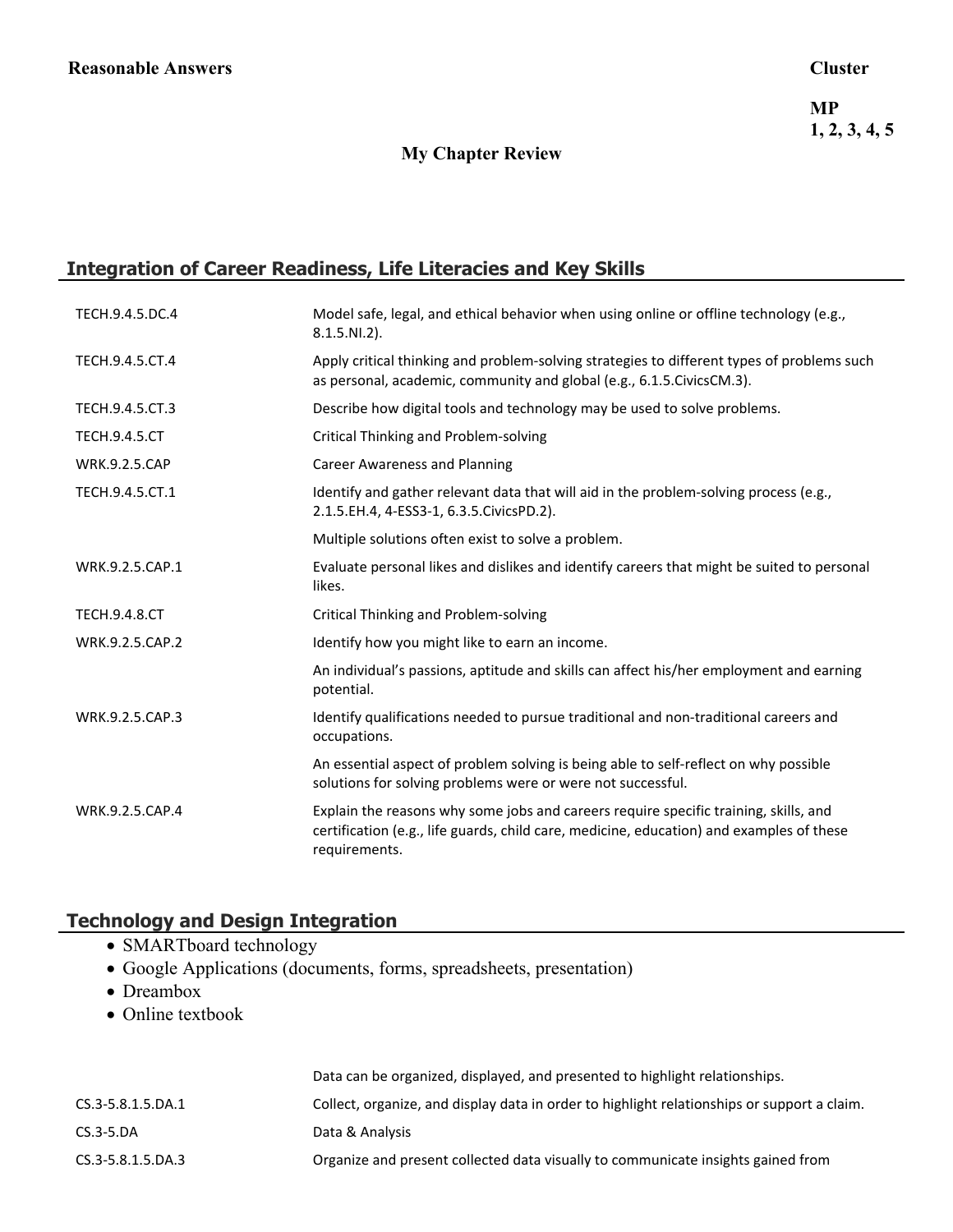### **My Chapter Review**

# **Integration of Career Readiness, Life Literacies and Key Skills**

| TECH.9.4.5.DC.4      | Model safe, legal, and ethical behavior when using online or offline technology (e.g.,<br>$8.1.5.NI.2$ ).                                                                                         |
|----------------------|---------------------------------------------------------------------------------------------------------------------------------------------------------------------------------------------------|
| TECH.9.4.5.CT.4      | Apply critical thinking and problem-solving strategies to different types of problems such<br>as personal, academic, community and global (e.g., 6.1.5. Civics CM.3).                             |
| TECH.9.4.5.CT.3      | Describe how digital tools and technology may be used to solve problems.                                                                                                                          |
| <b>TECH.9.4.5.CT</b> | Critical Thinking and Problem-solving                                                                                                                                                             |
| <b>WRK.9.2.5.CAP</b> | <b>Career Awareness and Planning</b>                                                                                                                                                              |
| TECH.9.4.5.CT.1      | Identify and gather relevant data that will aid in the problem-solving process (e.g.,<br>2.1.5.EH.4, 4-ESS3-1, 6.3.5.CivicsPD.2).                                                                 |
|                      | Multiple solutions often exist to solve a problem.                                                                                                                                                |
| WRK.9.2.5.CAP.1      | Evaluate personal likes and dislikes and identify careers that might be suited to personal<br>likes.                                                                                              |
| <b>TECH.9.4.8.CT</b> | Critical Thinking and Problem-solving                                                                                                                                                             |
| WRK.9.2.5.CAP.2      | Identify how you might like to earn an income.                                                                                                                                                    |
|                      | An individual's passions, aptitude and skills can affect his/her employment and earning<br>potential.                                                                                             |
| WRK.9.2.5.CAP.3      | Identify qualifications needed to pursue traditional and non-traditional careers and<br>occupations.                                                                                              |
|                      | An essential aspect of problem solving is being able to self-reflect on why possible<br>solutions for solving problems were or were not successful.                                               |
| WRK.9.2.5.CAP.4      | Explain the reasons why some jobs and careers require specific training, skills, and<br>certification (e.g., life guards, child care, medicine, education) and examples of these<br>requirements. |

# **Technology and Design Integration**

- SMARTboard technology
- Google Applications (documents, forms, spreadsheets, presentation)
- Dreambox
- Online textbook

|                   | Data can be organized, displayed, and presented to highlight relationships.                 |
|-------------------|---------------------------------------------------------------------------------------------|
| CS.3-5.8.1.5.DA.1 | Collect, organize, and display data in order to highlight relationships or support a claim. |
| $CS.3-5.DA$       | Data & Analysis                                                                             |
| CS.3-5.8.1.5.DA.3 | Organize and present collected data visually to communicate insights gained from            |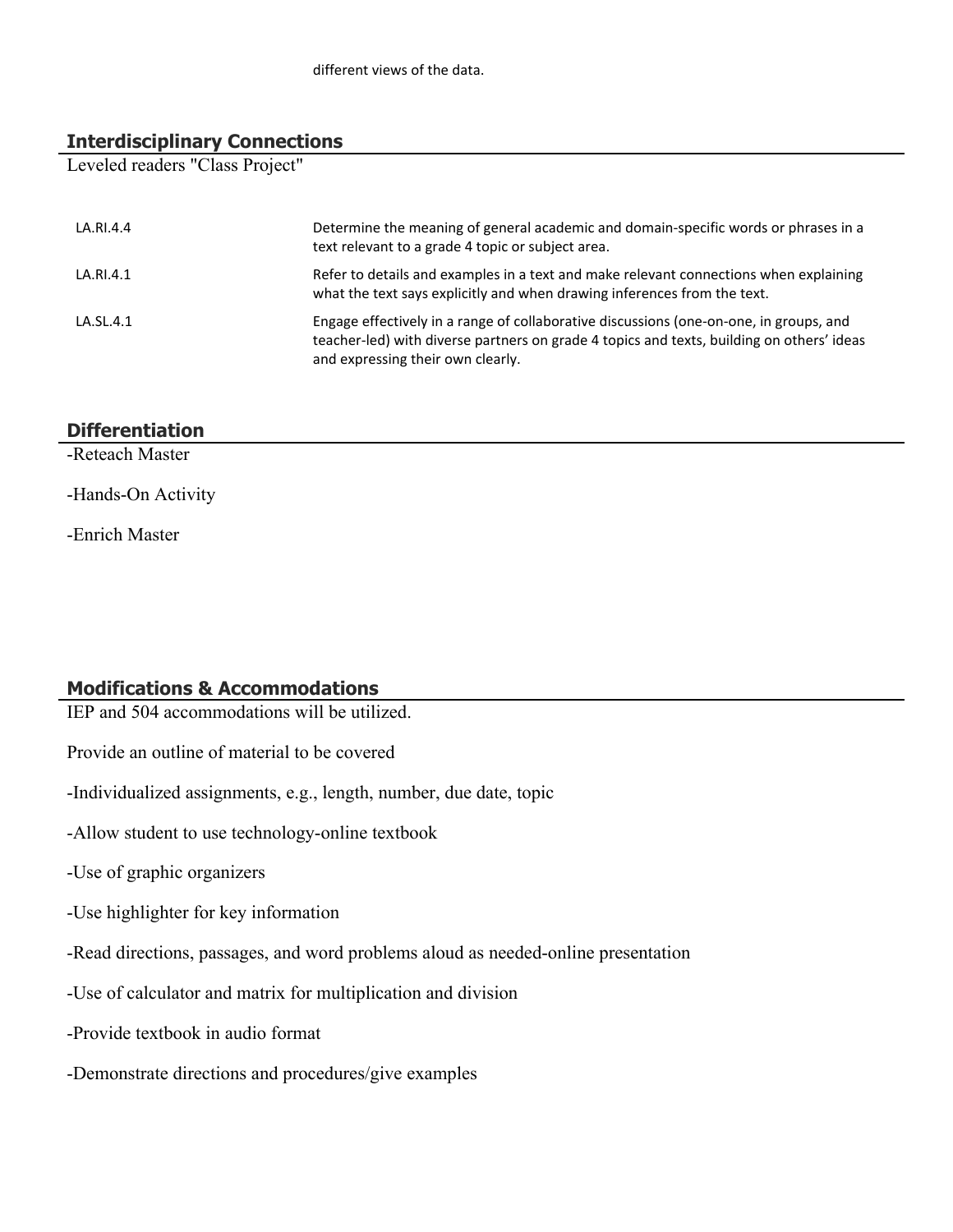### **Interdisciplinary Connections**

Leveled readers "Class Project"

| LA.RI.4.4 | Determine the meaning of general academic and domain-specific words or phrases in a<br>text relevant to a grade 4 topic or subject area.                                                                                 |
|-----------|--------------------------------------------------------------------------------------------------------------------------------------------------------------------------------------------------------------------------|
| LA.RI.4.1 | Refer to details and examples in a text and make relevant connections when explaining<br>what the text says explicitly and when drawing inferences from the text.                                                        |
| LA.SL.4.1 | Engage effectively in a range of collaborative discussions (one-on-one, in groups, and<br>teacher-led) with diverse partners on grade 4 topics and texts, building on others' ideas<br>and expressing their own clearly. |

# **Differentiation**

-Reteach Master

-Hands-On Activity

-Enrich Master

# **Modifications & Accommodations**

IEP and 504 accommodations will be utilized.

Provide an outline of material to be covered

-Individualized assignments, e.g., length, number, due date, topic

-Allow student to use technology-online textbook

-Use of graphic organizers

-Use highlighter for key information

-Read directions, passages, and word problems aloud as needed-online presentation

-Use of calculator and matrix for multiplication and division

-Provide textbook in audio format

-Demonstrate directions and procedures/give examples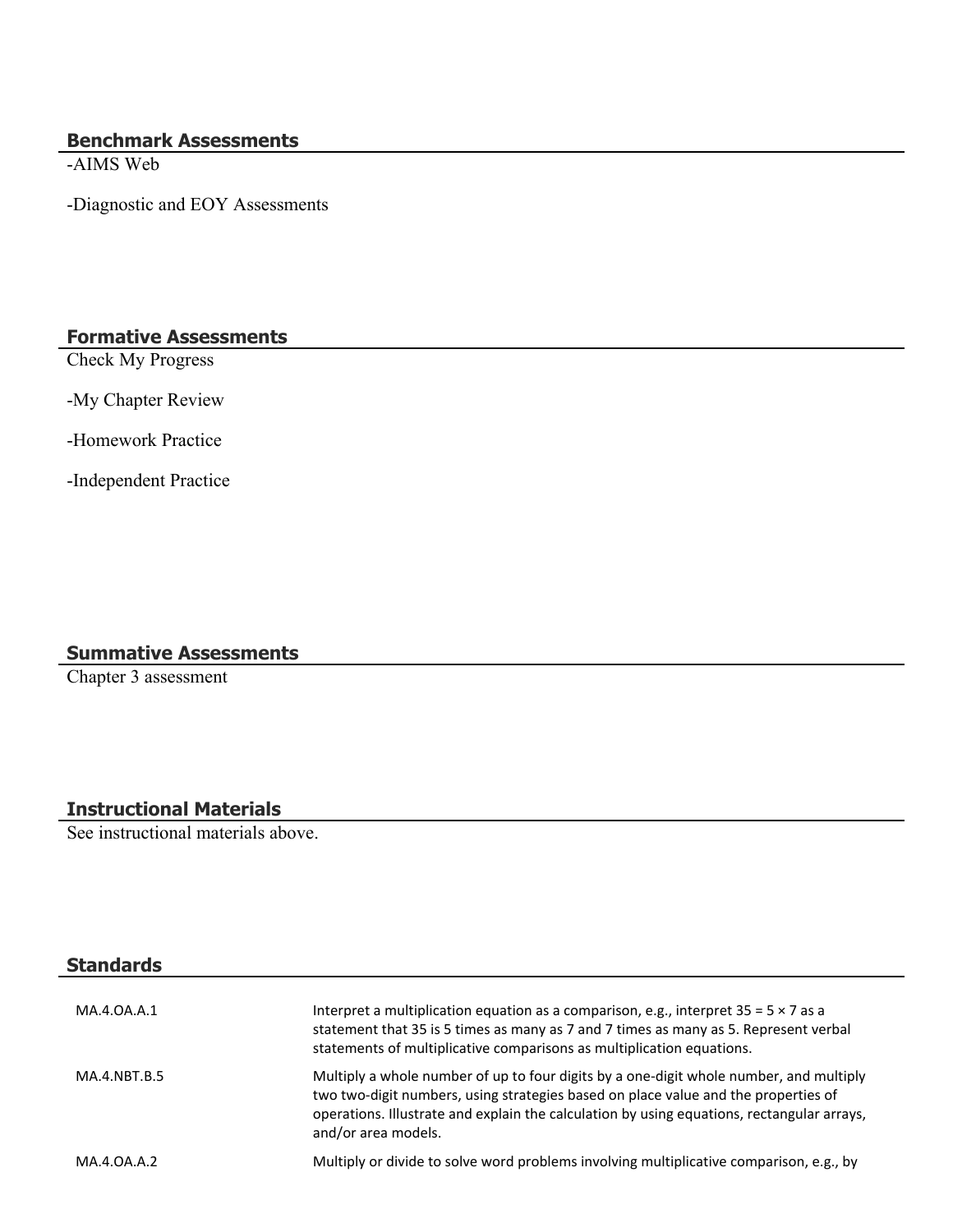# **Benchmark Assessments**

-AIMS Web

-Diagnostic and EOY Assessments

# **Formative Assessments**

Check My Progress

-My Chapter Review

-Homework Practice

-Independent Practice

# **Summative Assessments**

Chapter 3 assessment

# **Instructional Materials**

See instructional materials above.

# **Standards**

| MA.4.0A.A.1  | Interpret a multiplication equation as a comparison, e.g., interpret $35 = 5 \times 7$ as a<br>statement that 35 is 5 times as many as 7 and 7 times as many as 5. Represent verbal<br>statements of multiplicative comparisons as multiplication equations.                                      |
|--------------|---------------------------------------------------------------------------------------------------------------------------------------------------------------------------------------------------------------------------------------------------------------------------------------------------|
| MA.4.NBT.B.5 | Multiply a whole number of up to four digits by a one-digit whole number, and multiply<br>two two-digit numbers, using strategies based on place value and the properties of<br>operations. Illustrate and explain the calculation by using equations, rectangular arrays,<br>and/or area models. |
| MA.4.0A.A.2  | Multiply or divide to solve word problems involving multiplicative comparison, e.g., by                                                                                                                                                                                                           |